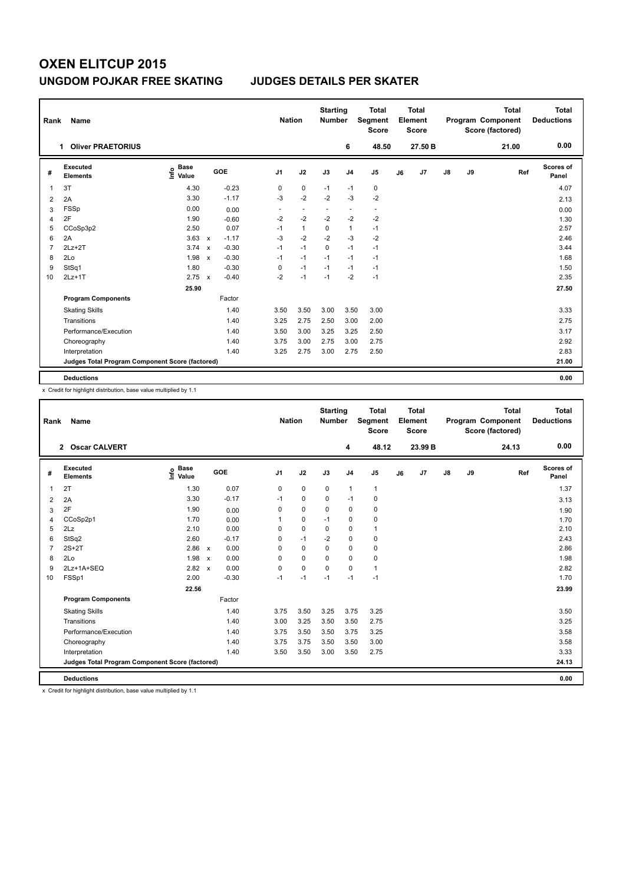# **OXEN ELITCUP 2015 UNGDOM POJKAR FREE SKATING JUDGES DETAILS PER SKATER**

| Rank           | Name                                            |                                  |                           |            |                          | <b>Nation</b>            | <b>Starting</b><br><b>Number</b> |                | <b>Total</b><br>Segment<br><b>Score</b> |    | <b>Total</b><br>Element<br><b>Score</b> |               |    | <b>Total</b><br><b>Program Component</b><br>Score (factored) | <b>Total</b><br><b>Deductions</b> |
|----------------|-------------------------------------------------|----------------------------------|---------------------------|------------|--------------------------|--------------------------|----------------------------------|----------------|-----------------------------------------|----|-----------------------------------------|---------------|----|--------------------------------------------------------------|-----------------------------------|
|                | <b>Oliver PRAETORIUS</b><br>1.                  |                                  |                           |            |                          |                          |                                  | 6              | 48.50                                   |    | 27.50 B                                 |               |    | 21.00                                                        | 0.00                              |
| #              | Executed<br><b>Elements</b>                     | <b>Base</b><br>e Base<br>⊆ Value |                           | <b>GOE</b> | J <sub>1</sub>           | J2                       | J3                               | J <sub>4</sub> | J <sub>5</sub>                          | J6 | J <sub>7</sub>                          | $\mathsf{J}8$ | J9 | Ref                                                          | Scores of<br>Panel                |
| 1              | 3T                                              | 4.30                             |                           | $-0.23$    | 0                        | $\mathbf 0$              | $-1$                             | $-1$           | $\pmb{0}$                               |    |                                         |               |    |                                                              | 4.07                              |
| $\overline{2}$ | 2A                                              | 3.30                             |                           | $-1.17$    | $-3$                     | $-2$                     | $-2$                             | $-3$           | $-2$                                    |    |                                         |               |    |                                                              | 2.13                              |
| 3              | <b>FSSp</b>                                     | 0.00                             |                           | 0.00       | $\overline{\phantom{a}}$ | $\overline{\phantom{a}}$ | $\overline{a}$                   | $\blacksquare$ | $\overline{\phantom{a}}$                |    |                                         |               |    |                                                              | 0.00                              |
| 4              | 2F                                              | 1.90                             |                           | $-0.60$    | $-2$                     | $-2$                     | $-2$                             | $-2$           | $-2$                                    |    |                                         |               |    |                                                              | 1.30                              |
| 5              | CCoSp3p2                                        | 2.50                             |                           | 0.07       | $-1$                     | $\mathbf{1}$             | 0                                | $\mathbf{1}$   | $-1$                                    |    |                                         |               |    |                                                              | 2.57                              |
| 6              | 2A                                              | 3.63                             | $\mathbf{x}$              | $-1.17$    | $-3$                     | $-2$                     | $-2$                             | $-3$           | $-2$                                    |    |                                         |               |    |                                                              | 2.46                              |
| 7              | $2Lz+2T$                                        | 3.74                             | $\boldsymbol{\mathsf{x}}$ | $-0.30$    | $-1$                     | $-1$                     | $\mathbf 0$                      | $-1$           | $-1$                                    |    |                                         |               |    |                                                              | 3.44                              |
| 8              | 2Lo                                             | 1.98                             | $\mathsf{x}$              | $-0.30$    | $-1$                     | $-1$                     | $-1$                             | $-1$           | $-1$                                    |    |                                         |               |    |                                                              | 1.68                              |
| 9              | StSq1                                           | 1.80                             |                           | $-0.30$    | 0                        | $-1$                     | $-1$                             | $-1$           | $-1$                                    |    |                                         |               |    |                                                              | 1.50                              |
| 10             | $2Lz+1T$                                        | 2.75                             | $\boldsymbol{\mathsf{x}}$ | $-0.40$    | $-2$                     | $-1$                     | $-1$                             | $-2$           | $-1$                                    |    |                                         |               |    |                                                              | 2.35                              |
|                |                                                 | 25.90                            |                           |            |                          |                          |                                  |                |                                         |    |                                         |               |    |                                                              | 27.50                             |
|                | <b>Program Components</b>                       |                                  |                           | Factor     |                          |                          |                                  |                |                                         |    |                                         |               |    |                                                              |                                   |
|                | <b>Skating Skills</b>                           |                                  |                           | 1.40       | 3.50                     | 3.50                     | 3.00                             | 3.50           | 3.00                                    |    |                                         |               |    |                                                              | 3.33                              |
|                | Transitions                                     |                                  |                           | 1.40       | 3.25                     | 2.75                     | 2.50                             | 3.00           | 2.00                                    |    |                                         |               |    |                                                              | 2.75                              |
|                | Performance/Execution                           |                                  |                           | 1.40       | 3.50                     | 3.00                     | 3.25                             | 3.25           | 2.50                                    |    |                                         |               |    |                                                              | 3.17                              |
|                | Choreography                                    |                                  |                           | 1.40       | 3.75                     | 3.00                     | 2.75                             | 3.00           | 2.75                                    |    |                                         |               |    |                                                              | 2.92                              |
|                | Interpretation                                  |                                  |                           | 1.40       | 3.25                     | 2.75                     | 3.00                             | 2.75           | 2.50                                    |    |                                         |               |    |                                                              | 2.83                              |
|                | Judges Total Program Component Score (factored) |                                  |                           |            |                          |                          |                                  |                |                                         |    |                                         |               |    |                                                              | 21.00                             |
|                | <b>Deductions</b>                               |                                  |                           |            |                          |                          |                                  |                |                                         |    |                                         |               |    |                                                              | 0.00                              |

x Credit for highlight distribution, base value multiplied by 1.1

| Rank           | <b>Name</b>                                     |                                  |                           |         | <b>Nation</b>  |             | <b>Starting</b><br><b>Number</b> |                | <b>Total</b><br>Segment<br><b>Score</b> |    | <b>Total</b><br>Element<br><b>Score</b> |               |    | <b>Total</b><br>Program Component<br>Score (factored) | <b>Total</b><br><b>Deductions</b> |
|----------------|-------------------------------------------------|----------------------------------|---------------------------|---------|----------------|-------------|----------------------------------|----------------|-----------------------------------------|----|-----------------------------------------|---------------|----|-------------------------------------------------------|-----------------------------------|
|                | 2 Oscar CALVERT                                 |                                  |                           |         |                |             |                                  | 4              | 48.12                                   |    | 23.99 B                                 |               |    | 24.13                                                 | 0.00                              |
| #              | Executed<br><b>Elements</b>                     | <b>Base</b><br>e Base<br>⊑ Value |                           | GOE     | J <sub>1</sub> | J2          | J3                               | J <sub>4</sub> | J <sub>5</sub>                          | J6 | J <sub>7</sub>                          | $\mathsf{J}8$ | J9 | Ref                                                   | Scores of<br>Panel                |
| $\overline{1}$ | 2T                                              | 1.30                             |                           | 0.07    | 0              | 0           | 0                                | $\mathbf{1}$   | 1                                       |    |                                         |               |    |                                                       | 1.37                              |
| 2              | 2A                                              | 3.30                             |                           | $-0.17$ | $-1$           | $\mathbf 0$ | $\Omega$                         | $-1$           | 0                                       |    |                                         |               |    |                                                       | 3.13                              |
| 3              | 2F                                              | 1.90                             |                           | 0.00    | 0              | $\mathbf 0$ | $\Omega$                         | $\mathbf 0$    | 0                                       |    |                                         |               |    |                                                       | 1.90                              |
| 4              | CCoSp2p1                                        | 1.70                             |                           | 0.00    | 1              | 0           | $-1$                             | 0              | 0                                       |    |                                         |               |    |                                                       | 1.70                              |
| 5              | 2Lz                                             | 2.10                             |                           | 0.00    | 0              | $\mathbf 0$ | 0                                | $\mathbf 0$    | 1                                       |    |                                         |               |    |                                                       | 2.10                              |
| 6              | StSq2                                           | 2.60                             |                           | $-0.17$ | 0              | $-1$        | $-2$                             | $\mathbf 0$    | 0                                       |    |                                         |               |    |                                                       | 2.43                              |
| $\overline{7}$ | $2S+2T$                                         | 2.86 x                           |                           | 0.00    | 0              | $\mathbf 0$ | $\Omega$                         | $\mathbf 0$    | 0                                       |    |                                         |               |    |                                                       | 2.86                              |
| 8              | 2Lo                                             | 1.98                             | $\mathsf{x}$              | 0.00    | 0              | 0           | 0                                | $\mathbf 0$    | 0                                       |    |                                         |               |    |                                                       | 1.98                              |
| 9              | 2Lz+1A+SEQ                                      | 2.82                             | $\boldsymbol{\mathsf{x}}$ | 0.00    | 0              | 0           | 0                                | $\Omega$       | 1                                       |    |                                         |               |    |                                                       | 2.82                              |
| 10             | FSSp1                                           | 2.00                             |                           | $-0.30$ | $-1$           | $-1$        | $-1$                             | $-1$           | $-1$                                    |    |                                         |               |    |                                                       | 1.70                              |
|                |                                                 | 22.56                            |                           |         |                |             |                                  |                |                                         |    |                                         |               |    |                                                       | 23.99                             |
|                | <b>Program Components</b>                       |                                  |                           | Factor  |                |             |                                  |                |                                         |    |                                         |               |    |                                                       |                                   |
|                | <b>Skating Skills</b>                           |                                  |                           | 1.40    | 3.75           | 3.50        | 3.25                             | 3.75           | 3.25                                    |    |                                         |               |    |                                                       | 3.50                              |
|                | Transitions                                     |                                  |                           | 1.40    | 3.00           | 3.25        | 3.50                             | 3.50           | 2.75                                    |    |                                         |               |    |                                                       | 3.25                              |
|                | Performance/Execution                           |                                  |                           | 1.40    | 3.75           | 3.50        | 3.50                             | 3.75           | 3.25                                    |    |                                         |               |    |                                                       | 3.58                              |
|                | Choreography                                    |                                  |                           | 1.40    | 3.75           | 3.75        | 3.50                             | 3.50           | 3.00                                    |    |                                         |               |    |                                                       | 3.58                              |
|                | Interpretation                                  |                                  |                           | 1.40    | 3.50           | 3.50        | 3.00                             | 3.50           | 2.75                                    |    |                                         |               |    |                                                       | 3.33                              |
|                | Judges Total Program Component Score (factored) |                                  |                           |         |                |             |                                  |                |                                         |    |                                         |               |    |                                                       | 24.13                             |
|                | <b>Deductions</b>                               |                                  |                           |         |                |             |                                  |                |                                         |    |                                         |               |    |                                                       | 0.00                              |

x Credit for highlight distribution, base value multiplied by 1.1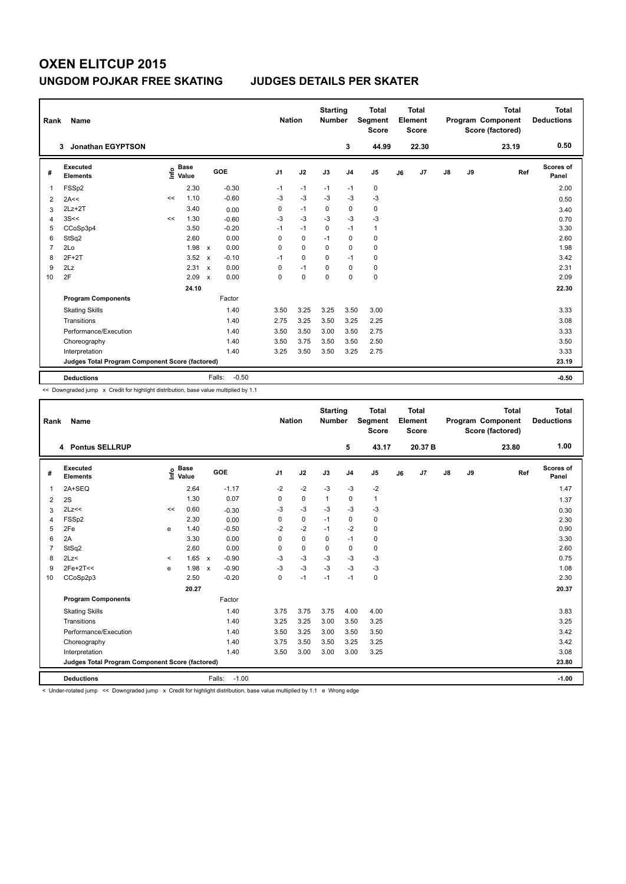# **OXEN ELITCUP 2015 UNGDOM POJKAR FREE SKATING JUDGES DETAILS PER SKATER**

| Rank           | Name                                            |    |                      |                           |                   | <b>Nation</b>  |             | <b>Starting</b><br><b>Number</b> |                | <b>Total</b><br>Segment<br><b>Score</b> |    | <b>Total</b><br>Element<br>Score |               |    | <b>Total</b><br><b>Program Component</b><br>Score (factored) | <b>Total</b><br><b>Deductions</b> |
|----------------|-------------------------------------------------|----|----------------------|---------------------------|-------------------|----------------|-------------|----------------------------------|----------------|-----------------------------------------|----|----------------------------------|---------------|----|--------------------------------------------------------------|-----------------------------------|
|                | <b>Jonathan EGYPTSON</b><br>3                   |    |                      |                           |                   |                |             |                                  | 3              | 44.99                                   |    | 22.30                            |               |    | 23.19                                                        | 0.50                              |
| #              | Executed<br><b>Elements</b>                     | ۴۵ | <b>Base</b><br>Value |                           | GOE               | J <sub>1</sub> | J2          | J3                               | J <sub>4</sub> | J <sub>5</sub>                          | J6 | J7                               | $\mathsf{J}8$ | J9 | Ref                                                          | Scores of<br>Panel                |
| 1              | FSSp2                                           |    | 2.30                 |                           | $-0.30$           | $-1$           | $-1$        | $-1$                             | $-1$           | $\mathbf 0$                             |    |                                  |               |    |                                                              | 2.00                              |
| 2              | 2A<<                                            | << | 1.10                 |                           | $-0.60$           | $-3$           | $-3$        | $-3$                             | $-3$           | $-3$                                    |    |                                  |               |    |                                                              | 0.50                              |
| 3              | $2Lz+2T$                                        |    | 3.40                 |                           | 0.00              | 0              | $-1$        | 0                                | 0              | $\pmb{0}$                               |    |                                  |               |    |                                                              | 3.40                              |
| $\overline{4}$ | 3S<<                                            | << | 1.30                 |                           | $-0.60$           | $-3$           | $-3$        | $-3$                             | $-3$           | $-3$                                    |    |                                  |               |    |                                                              | 0.70                              |
| 5              | CCoSp3p4                                        |    | 3.50                 |                           | $-0.20$           | $-1$           | $-1$        | $\mathbf 0$                      | $-1$           | $\mathbf{1}$                            |    |                                  |               |    |                                                              | 3.30                              |
| 6              | StSq2                                           |    | 2.60                 |                           | 0.00              | 0              | $\mathbf 0$ | $-1$                             | $\mathbf 0$    | $\pmb{0}$                               |    |                                  |               |    |                                                              | 2.60                              |
| $\overline{7}$ | 2Lo                                             |    | 1.98                 | $\mathsf{x}$              | 0.00              | 0              | $\Omega$    | $\mathbf 0$                      | $\mathbf 0$    | $\mathbf 0$                             |    |                                  |               |    |                                                              | 1.98                              |
| 8              | $2F+2T$                                         |    | 3.52                 | $\boldsymbol{\mathsf{x}}$ | $-0.10$           | $-1$           | $\mathbf 0$ | 0                                | $-1$           | $\mathbf 0$                             |    |                                  |               |    |                                                              | 3.42                              |
| 9              | 2Lz                                             |    | 2.31                 | $\mathbf x$               | 0.00              | 0              | $-1$        | 0                                | 0              | 0                                       |    |                                  |               |    |                                                              | 2.31                              |
| 10             | 2F                                              |    | 2.09                 | $\mathbf x$               | 0.00              | 0              | $\mathbf 0$ | $\Omega$                         | $\mathbf 0$    | $\mathbf 0$                             |    |                                  |               |    |                                                              | 2.09                              |
|                |                                                 |    | 24.10                |                           |                   |                |             |                                  |                |                                         |    |                                  |               |    |                                                              | 22.30                             |
|                | <b>Program Components</b>                       |    |                      |                           | Factor            |                |             |                                  |                |                                         |    |                                  |               |    |                                                              |                                   |
|                | <b>Skating Skills</b>                           |    |                      |                           | 1.40              | 3.50           | 3.25        | 3.25                             | 3.50           | 3.00                                    |    |                                  |               |    |                                                              | 3.33                              |
|                | Transitions                                     |    |                      |                           | 1.40              | 2.75           | 3.25        | 3.50                             | 3.25           | 2.25                                    |    |                                  |               |    |                                                              | 3.08                              |
|                | Performance/Execution                           |    |                      |                           | 1.40              | 3.50           | 3.50        | 3.00                             | 3.50           | 2.75                                    |    |                                  |               |    |                                                              | 3.33                              |
|                | Choreography                                    |    |                      |                           | 1.40              | 3.50           | 3.75        | 3.50                             | 3.50           | 2.50                                    |    |                                  |               |    |                                                              | 3.50                              |
|                | Interpretation                                  |    |                      |                           | 1.40              | 3.25           | 3.50        | 3.50                             | 3.25           | 2.75                                    |    |                                  |               |    |                                                              | 3.33                              |
|                | Judges Total Program Component Score (factored) |    |                      |                           |                   |                |             |                                  |                |                                         |    |                                  |               |    |                                                              | 23.19                             |
|                | <b>Deductions</b>                               |    |                      |                           | $-0.50$<br>Falls: |                |             |                                  |                |                                         |    |                                  |               |    |                                                              | $-0.50$                           |

<< Downgraded jump x Credit for highlight distribution, base value multiplied by 1.1

| <b>Name</b><br>Rank |                                                 |         |                      |              |            |                | <b>Nation</b> |              | <b>Starting</b><br><b>Number</b> | <b>Total</b><br>Segment<br><b>Score</b> |    | Total<br>Element<br><b>Score</b> |    |    | <b>Total</b><br>Program Component<br>Score (factored) | <b>Total</b><br><b>Deductions</b> |
|---------------------|-------------------------------------------------|---------|----------------------|--------------|------------|----------------|---------------|--------------|----------------------------------|-----------------------------------------|----|----------------------------------|----|----|-------------------------------------------------------|-----------------------------------|
|                     | 4 Pontus SELLRUP                                |         |                      |              |            |                |               |              | 5                                | 43.17                                   |    | 20.37 B                          |    |    | 23.80                                                 | 1.00                              |
| #                   | Executed<br><b>Elements</b>                     | ۴o      | <b>Base</b><br>Value |              | <b>GOE</b> | J <sub>1</sub> | J2            | J3           | J <sub>4</sub>                   | J <sub>5</sub>                          | J6 | J7                               | J8 | J9 | Ref                                                   | Scores of<br>Panel                |
| $\overline{1}$      | 2A+SEQ                                          |         | 2.64                 |              | $-1.17$    | $-2$           | $-2$          | $-3$         | $-3$                             | $-2$                                    |    |                                  |    |    |                                                       | 1.47                              |
| 2                   | 2S                                              |         | 1.30                 |              | 0.07       | 0              | $\mathbf 0$   | $\mathbf{1}$ | $\mathbf 0$                      | $\mathbf{1}$                            |    |                                  |    |    |                                                       | 1.37                              |
| 3                   | 2Lz<<                                           | <<      | 0.60                 |              | $-0.30$    | -3             | $-3$          | $-3$         | $-3$                             | $-3$                                    |    |                                  |    |    |                                                       | 0.30                              |
| $\overline{4}$      | FSSp2                                           |         | 2.30                 |              | 0.00       | 0              | $\mathbf 0$   | $-1$         | $\mathbf 0$                      | $\mathbf 0$                             |    |                                  |    |    |                                                       | 2.30                              |
| 5                   | 2Fe                                             | e       | 1.40                 |              | $-0.50$    | $-2$           | $-2$          | $-1$         | $-2$                             | 0                                       |    |                                  |    |    |                                                       | 0.90                              |
| 6                   | 2A                                              |         | 3.30                 |              | 0.00       | 0              | $\mathbf 0$   | $\mathbf 0$  | $-1$                             | $\mathbf 0$                             |    |                                  |    |    |                                                       | 3.30                              |
| $\overline{7}$      | StSq2                                           |         | 2.60                 |              | 0.00       | $\Omega$       | $\mathbf 0$   | 0            | $\mathbf 0$                      | $\mathbf 0$                             |    |                                  |    |    |                                                       | 2.60                              |
| 8                   | 2Lz<                                            | $\prec$ | 1.65                 | $\mathsf{x}$ | $-0.90$    | $-3$           | $-3$          | $-3$         | $-3$                             | $-3$                                    |    |                                  |    |    |                                                       | 0.75                              |
| 9                   | $2Fe+2T<<$                                      | e       | 1.98                 | $\mathbf{x}$ | $-0.90$    | $-3$           | $-3$          | $-3$         | $-3$                             | $-3$                                    |    |                                  |    |    |                                                       | 1.08                              |
| 10                  | CCoSp2p3                                        |         | 2.50                 |              | $-0.20$    | $\Omega$       | $-1$          | $-1$         | $-1$                             | $\mathbf 0$                             |    |                                  |    |    |                                                       | 2.30                              |
|                     |                                                 |         | 20.27                |              |            |                |               |              |                                  |                                         |    |                                  |    |    |                                                       | 20.37                             |
|                     | <b>Program Components</b>                       |         |                      |              | Factor     |                |               |              |                                  |                                         |    |                                  |    |    |                                                       |                                   |
|                     | <b>Skating Skills</b>                           |         |                      |              | 1.40       | 3.75           | 3.75          | 3.75         | 4.00                             | 4.00                                    |    |                                  |    |    |                                                       | 3.83                              |
|                     | Transitions                                     |         |                      |              | 1.40       | 3.25           | 3.25          | 3.00         | 3.50                             | 3.25                                    |    |                                  |    |    |                                                       | 3.25                              |
|                     | Performance/Execution                           |         |                      |              | 1.40       | 3.50           | 3.25          | 3.00         | 3.50                             | 3.50                                    |    |                                  |    |    |                                                       | 3.42                              |
|                     | Choreography                                    |         |                      |              | 1.40       | 3.75           | 3.50          | 3.50         | 3.25                             | 3.25                                    |    |                                  |    |    |                                                       | 3.42                              |
|                     | Interpretation                                  |         |                      |              | 1.40       | 3.50           | 3.00          | 3.00         | 3.00                             | 3.25                                    |    |                                  |    |    |                                                       | 3.08                              |
|                     | Judges Total Program Component Score (factored) |         |                      |              |            |                |               |              |                                  |                                         |    |                                  |    |    |                                                       | 23.80                             |
|                     | <b>Deductions</b>                               |         |                      | Falls:       | $-1.00$    |                |               |              |                                  |                                         |    |                                  |    |    |                                                       | $-1.00$                           |

< Under-rotated jump << Downgraded jump x Credit for highlight distribution, base value multiplied by 1.1 e Wrong edge